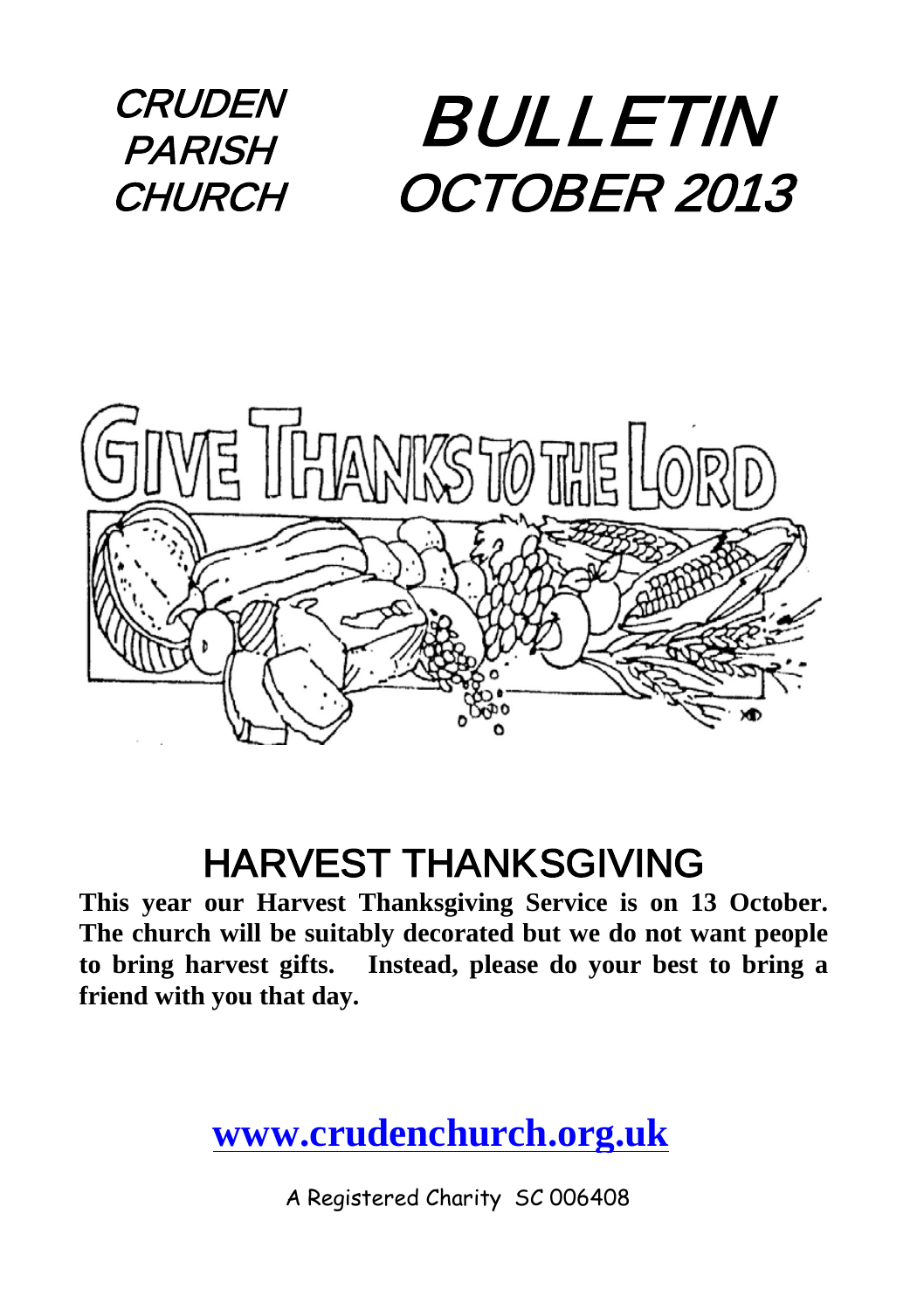



#### HARVEST THANKSGIVING

**This year our Harvest Thanksgiving Service is on 13 October. The church will be suitably decorated but we do not want people to bring harvest gifts. Instead, please do your best to bring a friend with you that day.**

#### **[www.crudenchurch.org.uk](http://www.crudenchurch.org.uk/)**

A Registered Charity SC 006408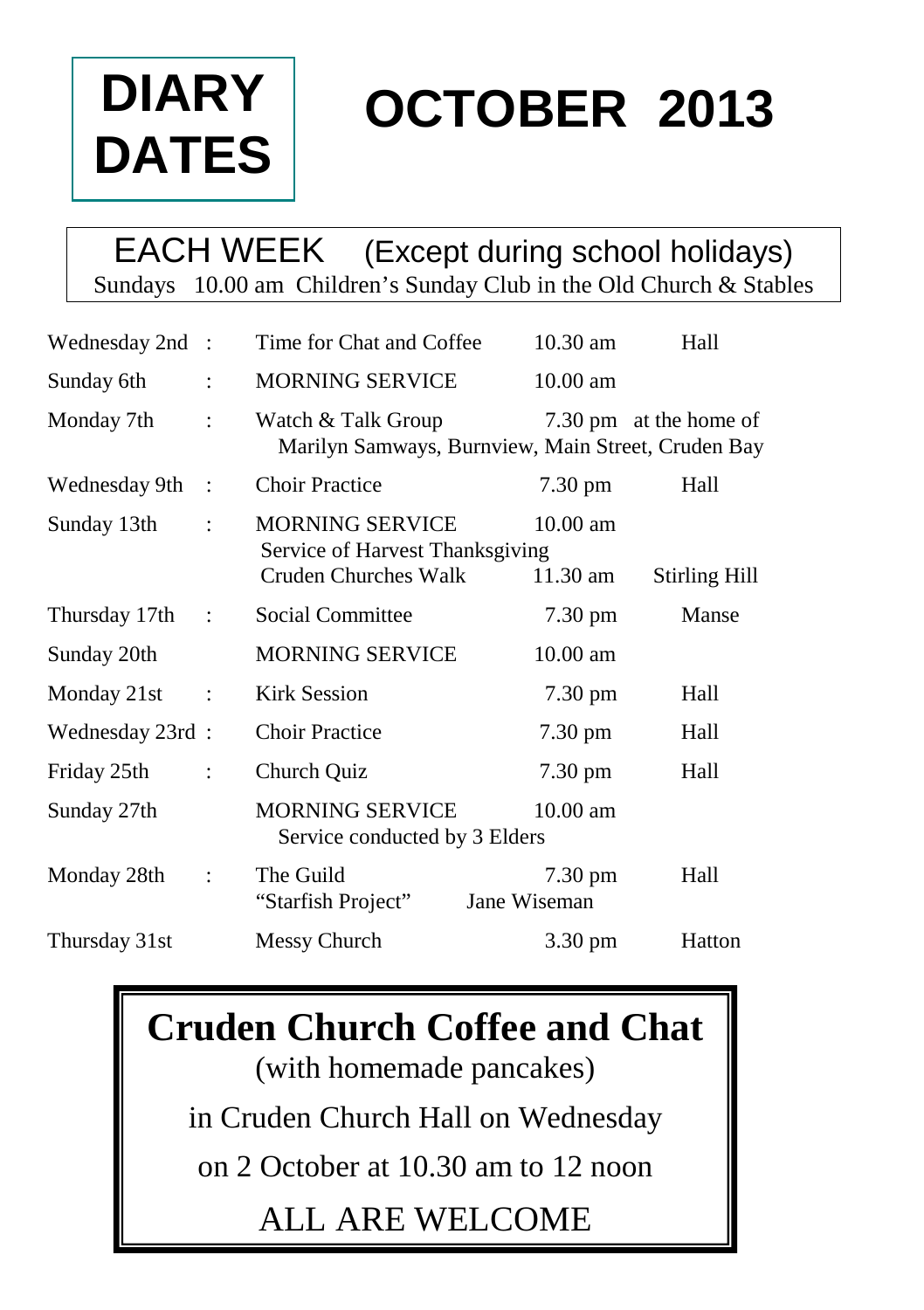

# **OCTOBER 2013**

#### EACH WEEK (Except during school holidays) Sundays 10.00 am Children's Sunday Club in the Old Church & Stables

| Wednesday 2nd : |                | Time for Chat and Coffee                                                                 | $10.30$ am                        | Hall                   |
|-----------------|----------------|------------------------------------------------------------------------------------------|-----------------------------------|------------------------|
| Sunday 6th      | $\ddot{\cdot}$ | MORNING SERVICE                                                                          | $10.00 \text{ am}$                |                        |
| Monday 7th      | $\ddot{\cdot}$ | Watch & Talk Group<br>Marilyn Samways, Burnview, Main Street, Cruden Bay                 |                                   | 7.30 pm at the home of |
| Wednesday 9th   | $\cdot$ :      | <b>Choir Practice</b>                                                                    | $7.30 \text{ pm}$                 | Hall                   |
| Sunday 13th     | $\ddot{\cdot}$ | <b>MORNING SERVICE</b><br>Service of Harvest Thanksgiving<br><b>Cruden Churches Walk</b> | $10.00$ am<br>11.30 am            | <b>Stirling Hill</b>   |
| Thursday 17th : |                | Social Committee                                                                         | $7.30 \text{ pm}$                 | Manse                  |
| Sunday 20th     |                | <b>MORNING SERVICE</b>                                                                   | $10.00$ am                        |                        |
| Monday 21st     | $\ddot{\cdot}$ | Kirk Session                                                                             | 7.30 pm                           | Hall                   |
| Wednesday 23rd: |                | <b>Choir Practice</b>                                                                    | $7.30 \text{ pm}$                 | Hall                   |
| Friday 25th     | $\ddot{\cdot}$ | Church Quiz                                                                              | 7.30 pm                           | Hall                   |
| Sunday 27th     |                | <b>MORNING SERVICE</b><br>Service conducted by 3 Elders                                  | $10.00$ am                        |                        |
| Monday 28th     | $\ddot{\cdot}$ | The Guild<br>"Starfish Project"                                                          | $7.30 \text{ pm}$<br>Jane Wiseman | Hall                   |
| Thursday 31st   |                | Messy Church                                                                             | 3.30 pm                           | Hatton                 |

**Cruden Church Coffee and Chat** (with homemade pancakes) in Cruden Church Hall on Wednesday on 2 October at 10.30 am to 12 noon ALL ARE WELCOME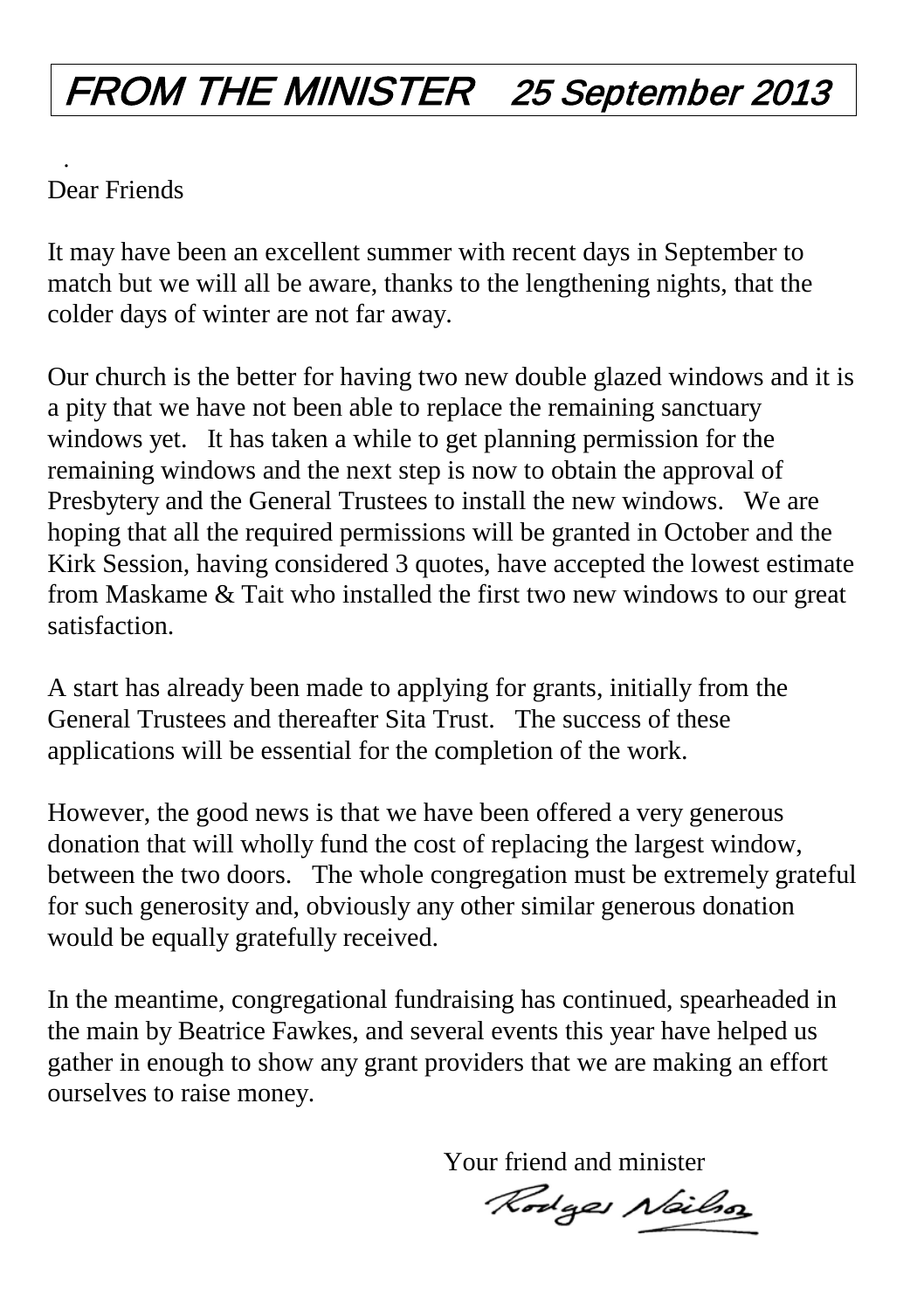## FROM THE MINISTER 25 September 2013

#### . Dear Friends

It may have been an excellent summer with recent days in September to match but we will all be aware, thanks to the lengthening nights, that the colder days of winter are not far away.

Our church is the better for having two new double glazed windows and it is a pity that we have not been able to replace the remaining sanctuary windows yet. It has taken a while to get planning permission for the remaining windows and the next step is now to obtain the approval of Presbytery and the General Trustees to install the new windows. We are hoping that all the required permissions will be granted in October and the Kirk Session, having considered 3 quotes, have accepted the lowest estimate from Maskame & Tait who installed the first two new windows to our great satisfaction.

A start has already been made to applying for grants, initially from the General Trustees and thereafter Sita Trust. The success of these applications will be essential for the completion of the work.

However, the good news is that we have been offered a very generous donation that will wholly fund the cost of replacing the largest window, between the two doors. The whole congregation must be extremely grateful for such generosity and, obviously any other similar generous donation would be equally gratefully received.

In the meantime, congregational fundraising has continued, spearheaded in the main by Beatrice Fawkes, and several events this year have helped us gather in enough to show any grant providers that we are making an effort ourselves to raise money.

Your friend and minister

Rodges Nailso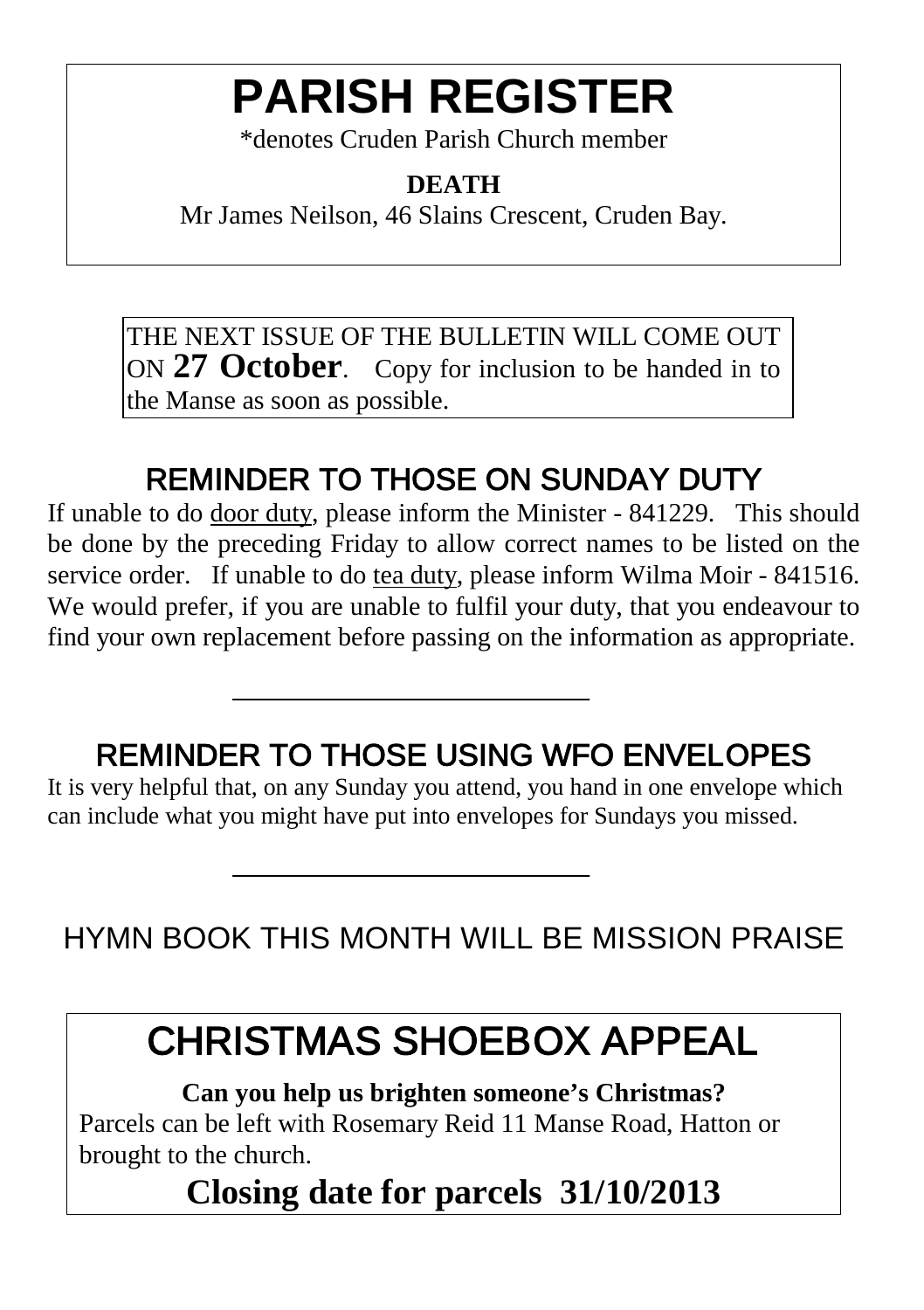## **PARISH REGISTER**

\*denotes Cruden Parish Church member

#### **DEATH**

Mr James Neilson, 46 Slains Crescent, Cruden Bay.

THE NEXT ISSUE OF THE BULLETIN WILL COME OUT ON **27 October**. Copy for inclusion to be handed in to the Manse as soon as possible.

#### REMINDER TO THOSE ON SUNDAY DUTY

If unable to do door duty, please inform the Minister - 841229. This should be done by the preceding Friday to allow correct names to be listed on the service order. If unable to do tea duty, please inform Wilma Moir - 841516. We would prefer, if you are unable to fulfil your duty, that you endeavour to find your own replacement before passing on the information as appropriate.

#### REMINDER TO THOSE USING WFO ENVELOPES

It is very helpful that, on any Sunday you attend, you hand in one envelope which can include what you might have put into envelopes for Sundays you missed.

HYMN BOOK THIS MONTH WILL BE MISSION PRAISE

#### CHRISTMAS SHOEBOX APPEAL

**Can you help us brighten someone's Christmas?** Parcels can be left with Rosemary Reid 11 Manse Road, Hatton or brought to the church.

**Closing date for parcels 31/10/2013**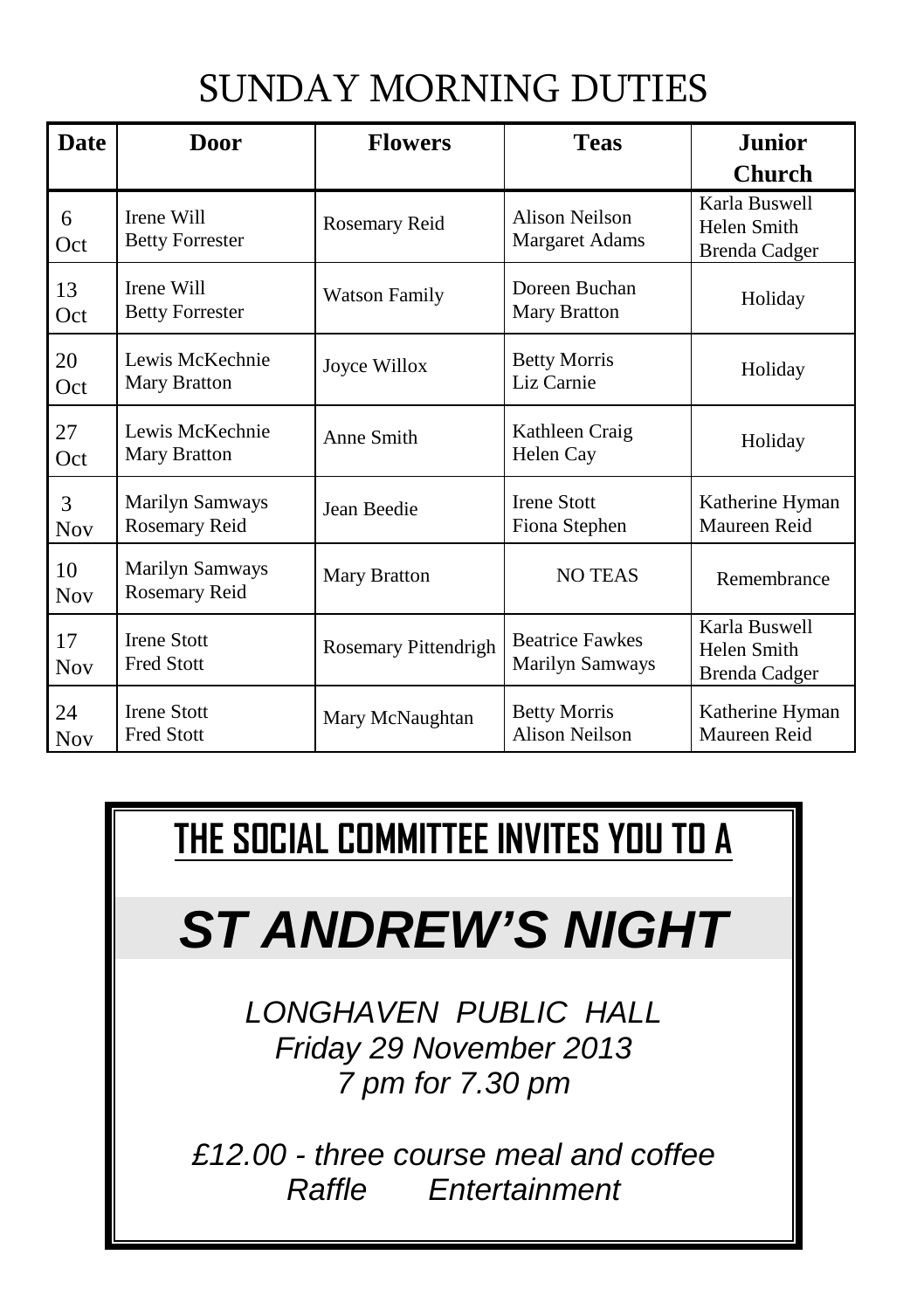#### SUNDAY MORNING DUTIES

| Date             | <b>Door</b>                             | <b>Flowers</b>       | <b>Teas</b>                               | Junior                                        |
|------------------|-----------------------------------------|----------------------|-------------------------------------------|-----------------------------------------------|
|                  |                                         |                      |                                           | <b>Church</b>                                 |
| 6<br>Oct         | Irene Will<br><b>Betty Forrester</b>    | Rosemary Reid        | Alison Neilson<br><b>Margaret Adams</b>   | Karla Buswell<br>Helen Smith<br>Brenda Cadger |
| 13<br>Oct        | Irene Will<br><b>Betty Forrester</b>    | Watson Family        | Doreen Buchan<br>Mary Bratton             | Holiday                                       |
| 20<br>Oct        | Lewis McKechnie<br>Mary Bratton         | Joyce Willox         | <b>Betty Morris</b><br>Liz Carnie         | Holiday                                       |
| 27<br>Oct        | Lewis McKechnie<br>Mary Bratton         | Anne Smith           | Kathleen Craig<br>Helen Cay               | Holiday                                       |
| 3<br><b>Nov</b>  | Marilyn Samways<br>Rosemary Reid        | Jean Beedie          | <b>Irene Stott</b><br>Fiona Stephen       | Katherine Hyman<br>Maureen Reid               |
| 10<br><b>Nov</b> | Marilyn Samways<br>Rosemary Reid        | Mary Bratton         | <b>NO TEAS</b>                            | Remembrance                                   |
| 17<br><b>Nov</b> | <b>Irene Stott</b><br><b>Fred Stott</b> | Rosemary Pittendrigh | <b>Beatrice Fawkes</b><br>Marilyn Samways | Karla Buswell<br>Helen Smith<br>Brenda Cadger |
| 24<br><b>Nov</b> | <b>Irene Stott</b><br>Fred Stott        | Mary McNaughtan      | <b>Betty Morris</b><br>Alison Neilson     | Katherine Hyman<br>Maureen Reid               |

#### **THE SOCIAL COMMITTEE INVITES YOU TO A**

## *ST ANDREW'S NIGHT*

*LONGHAVEN PUBLIC HALL Friday 29 November 2013 7 pm for 7.30 pm* 

*£12.00 - three course meal and coffee Raffle Entertainment*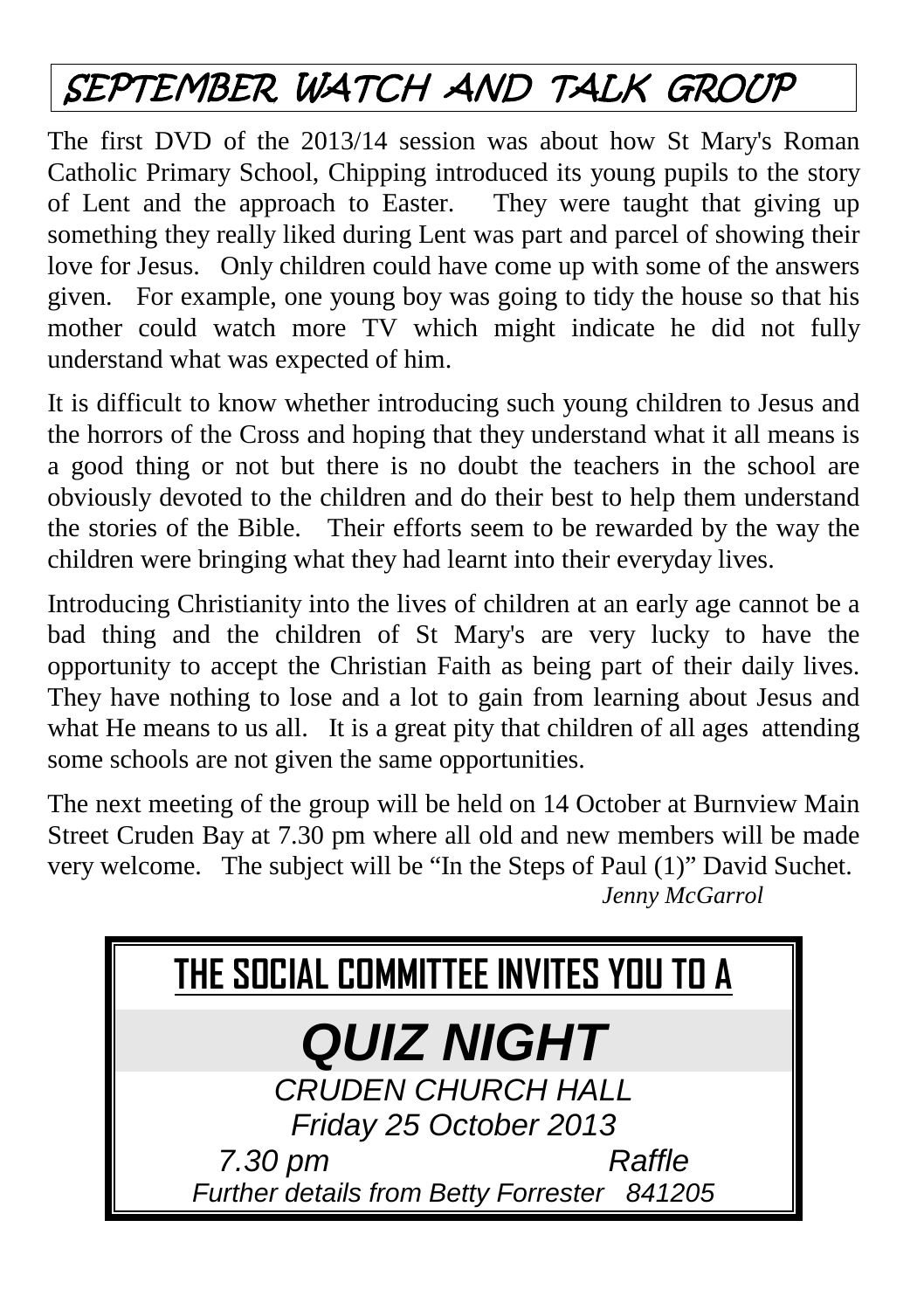## SEPTEMBER WATCH AND TALK GROUP

The first DVD of the 2013/14 session was about how St Mary's Roman Catholic Primary School, Chipping introduced its young pupils to the story of Lent and the approach to Easter. They were taught that giving up something they really liked during Lent was part and parcel of showing their love for Jesus. Only children could have come up with some of the answers given. For example, one young boy was going to tidy the house so that his mother could watch more TV which might indicate he did not fully understand what was expected of him.

It is difficult to know whether introducing such young children to Jesus and the horrors of the Cross and hoping that they understand what it all means is a good thing or not but there is no doubt the teachers in the school are obviously devoted to the children and do their best to help them understand the stories of the Bible. Their efforts seem to be rewarded by the way the children were bringing what they had learnt into their everyday lives.

Introducing Christianity into the lives of children at an early age cannot be a bad thing and the children of St Mary's are very lucky to have the opportunity to accept the Christian Faith as being part of their daily lives. They have nothing to lose and a lot to gain from learning about Jesus and what He means to us all. It is a great pity that children of all ages attending some schools are not given the same opportunities.

The next meeting of the group will be held on 14 October at Burnview Main Street Cruden Bay at 7.30 pm where all old and new members will be made very welcome. The subject will be "In the Steps of Paul (1)" David Suchet. *Jenny McGarrol*

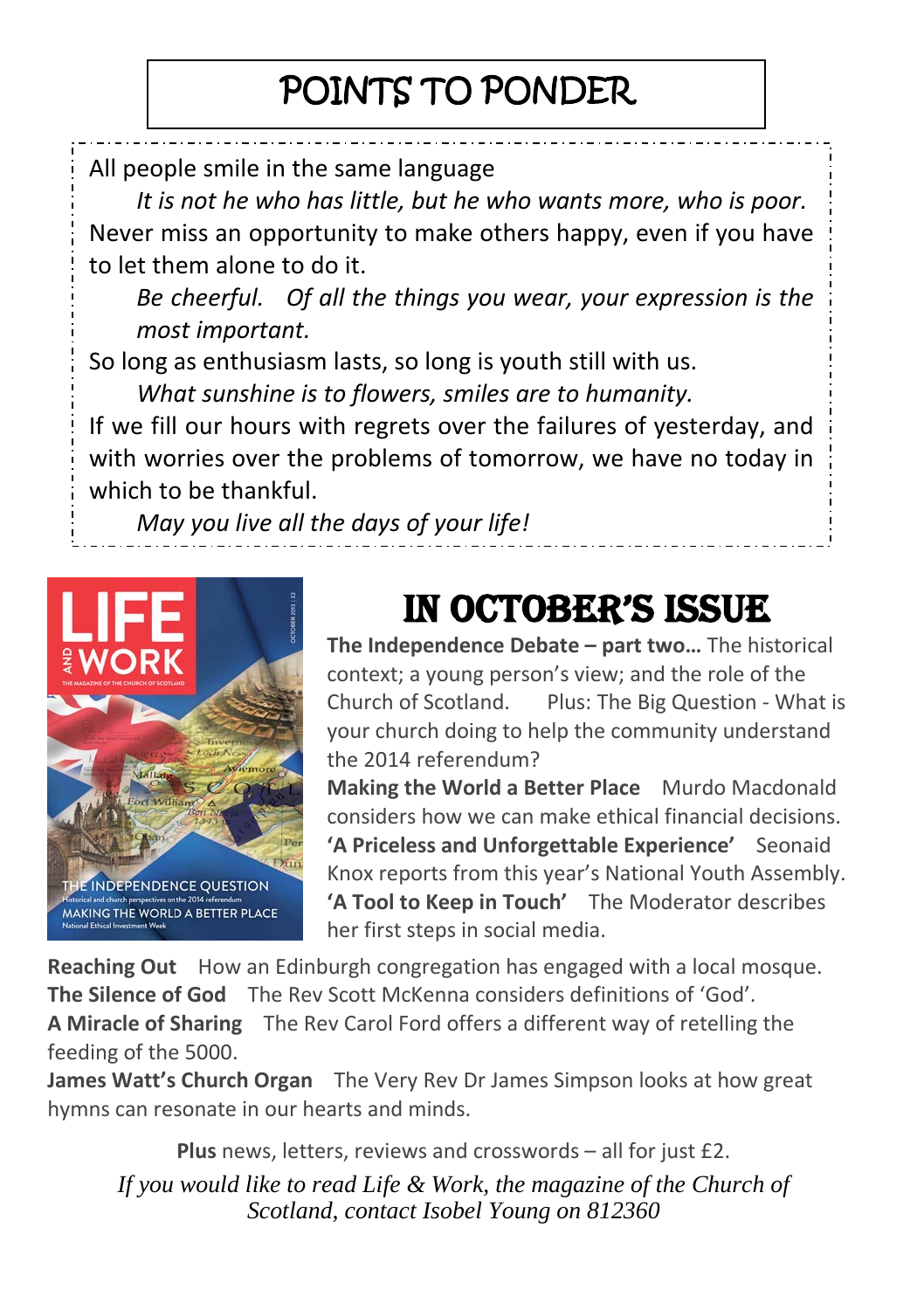#### POINTS TO PONDER

All people smile in the same language

*It is not he who has little, but he who wants more, who is poor.* Never miss an opportunity to make others happy, even if you have to let them alone to do it.

*Be cheerful. Of all the things you wear, your expression is the most important.*

So long as enthusiasm lasts, so long is youth still with us.

*What sunshine is to flowers, smiles are to humanity.*

If we fill our hours with regrets over the failures of yesterday, and with worries over the problems of tomorrow, we have no today in which to be thankful.

*May you live all the days of your life!*



#### IN OCTOBER'S ISSUE

**The Independence Debate – part two…** The historical context; a young person's view; and the role of the Church of Scotland. Plus: The Big Question - What is your church doing to help the community understand the 2014 referendum?

**Making the World a Better Place** Murdo Macdonald considers how we can make ethical financial decisions. **'A Priceless and Unforgettable Experience'** Seonaid Knox reports from this year's National Youth Assembly. **'A Tool to Keep in Touch'** The Moderator describes her first steps in social media.

**Reaching Out** How an Edinburgh congregation has engaged with a local mosque. **The Silence of God** The Rev Scott McKenna considers definitions of 'God'. **A Miracle of Sharing** The Rev Carol Ford offers a different way of retelling the feeding of the 5000.

**James Watt's Church Organ** The Very Rev Dr James Simpson looks at how great hymns can resonate in our hearts and minds.

**Plus** news, letters, reviews and crosswords – all for just £2.

*If you would like to read Life & Work, the magazine of the Church of Scotland, contact Isobel Young on 812360*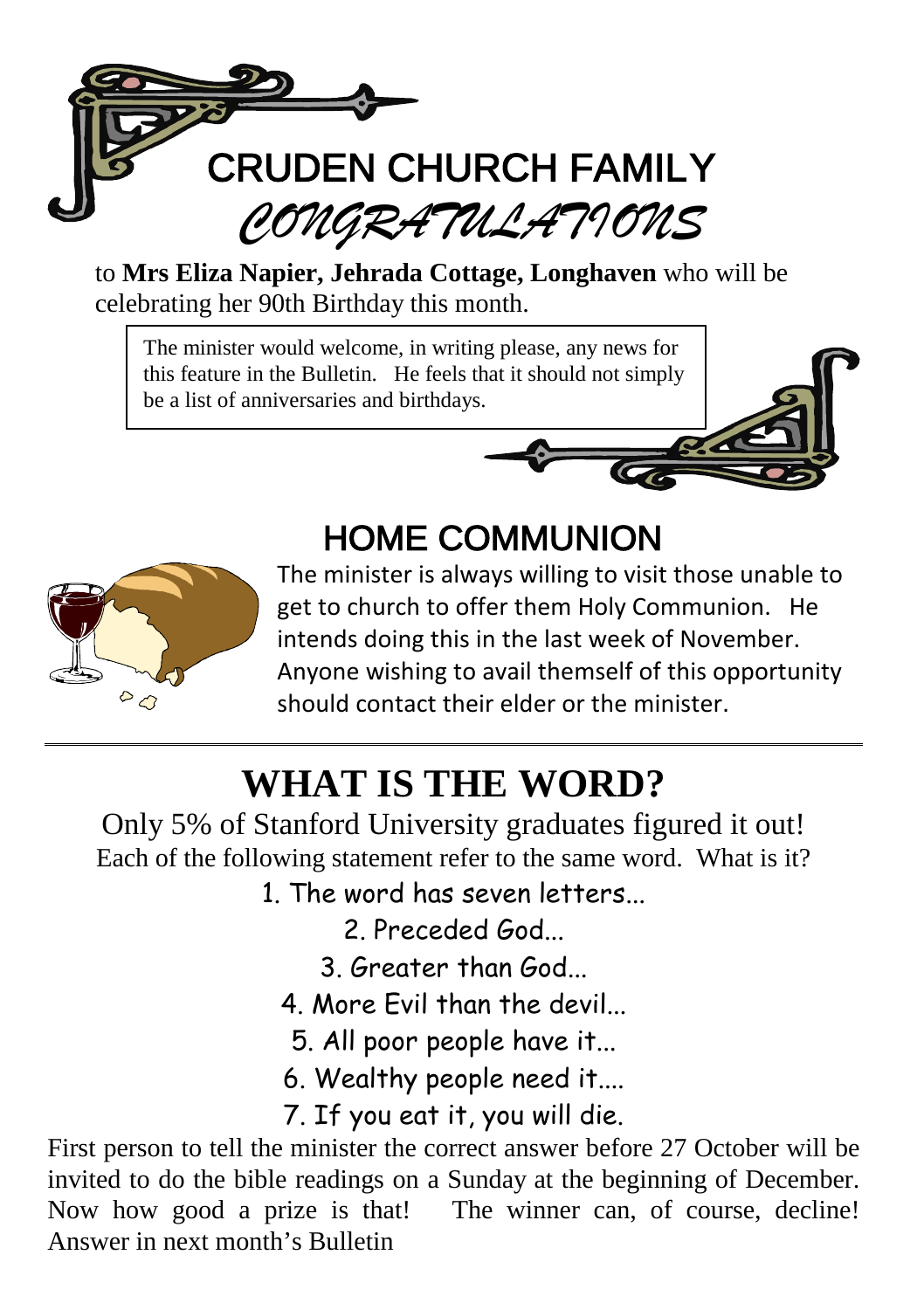

to **Mrs Eliza Napier, Jehrada Cottage, Longhaven** who will be celebrating her 90th Birthday this month.

The minister would welcome, in writing please, any news for this feature in the Bulletin. He feels that it should not simply be a list of anniversaries and birthdays.



#### HOME COMMUNION



The minister is always willing to visit those unable to get to church to offer them Holy Communion. He intends doing this in the last week of November. Anyone wishing to avail themself of this opportunity should contact their elder or the minister.

## **WHAT IS THE WORD?**

Only 5% of Stanford University graduates figured it out! Each of the following statement refer to the same word. What is it?

1. The word has seven letters...

2. Preceded God.

- 3. Greater than God...
- 4. More Fvil than the devil
	- 5. All poor people have it...
- 6. Wealthy people need it....

7. If you eat it, you will die.

First person to tell the minister the correct answer before 27 October will be invited to do the bible readings on a Sunday at the beginning of December. Now how good a prize is that! The winner can, of course, decline! Answer in next month's Bulletin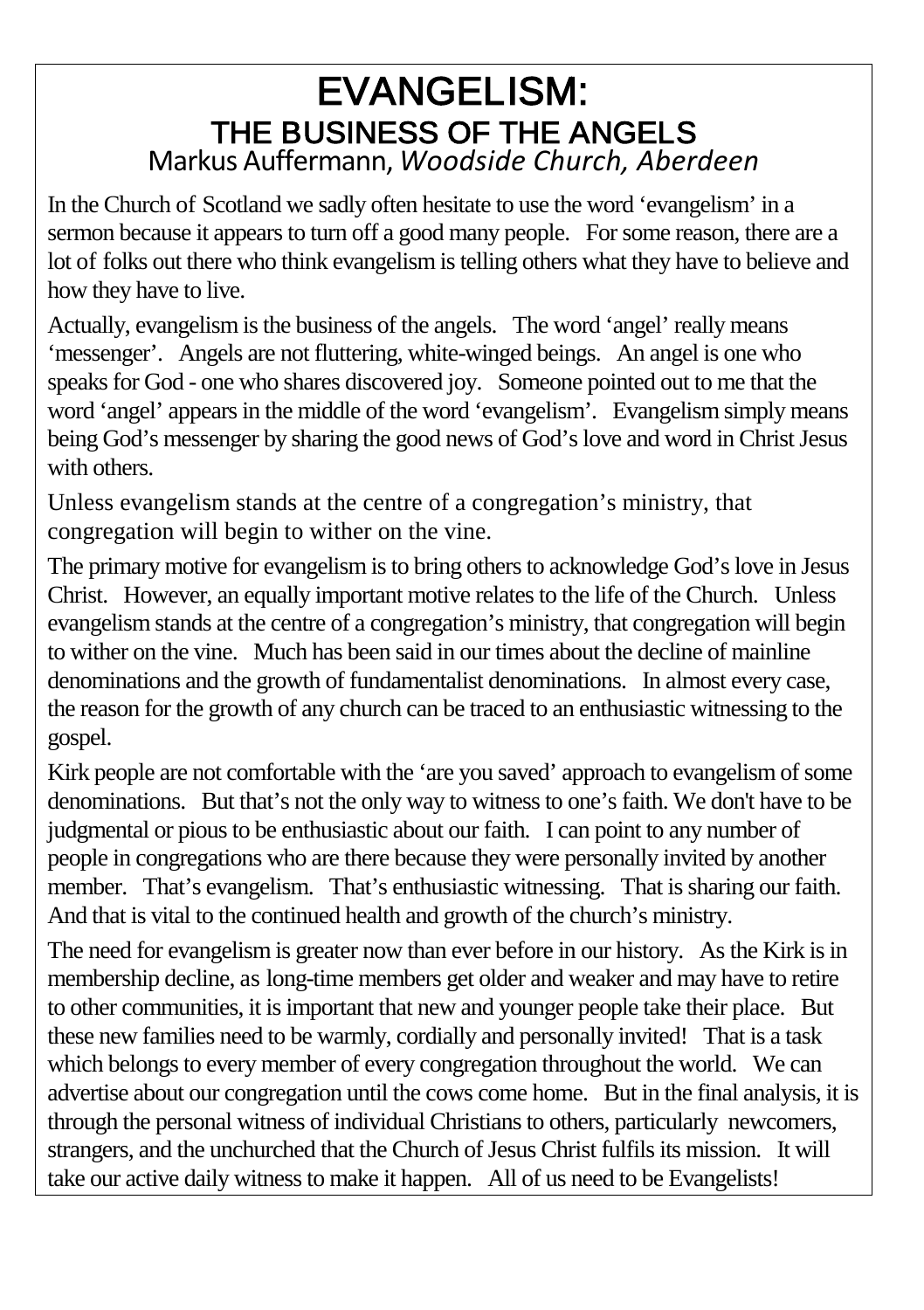# EVANGELISM: THE BUSINESS OF THE ANGELS Markus Auffermann, *Woodside Church, Aberdeen*

In the Church of Scotland we sadly often hesitate to use the word 'evangelism' in a sermon because it appears to turn off a good many people. For some reason, there are a lot of folks out there who think evangelism is telling others what they have to believe and how they have to live.

Actually, evangelism is the business of the angels. The word 'angel' really means 'messenger'. Angels are not fluttering, white-winged beings. An angel is one who speaks for God - one who shares discovered joy. Someone pointed out to me that the word 'angel' appears in the middle of the word 'evangelism'. Evangelism simply means being God's messenger by sharing the good news of God's love and word in Christ Jesus with others.

Unless evangelism stands at the centre of a congregation's ministry, that congregation will begin to wither on the vine.

The primary motive for evangelism is to bring others to acknowledge God's love in Jesus Christ. However, an equally important motive relates to the life of the Church. Unless evangelism stands at the centre of a congregation's ministry, that congregation will begin to wither on the vine. Much has been said in our times about the decline of mainline denominations and the growth of fundamentalist denominations. In almost every case, the reason for the growth of any church can be traced to an enthusiastic witnessing to the gospel.

Kirk people are not comfortable with the 'are you saved' approach to evangelism of some denominations. But that's not the only way to witness to one's faith. We don't have to be judgmental or pious to be enthusiastic about our faith. I can point to any number of people in congregations who are there because they were personally invited by another member. That's evangelism. That's enthusiastic witnessing. That is sharing our faith. And that is vital to the continued health and growth of the church's ministry.

The need for evangelism is greater now than ever before in our history. As the Kirk is in membership decline, as long-time members get older and weaker and may have to retire to other communities, it is important that new and younger people take their place. But these new families need to be warmly, cordially and personally invited! That is a task which belongs to every member of every congregation throughout the world. We can advertise about our congregation until the cows come home. But in the final analysis, it is through the personal witness of individual Christians to others, particularly newcomers, strangers, and the unchurched that the Church of Jesus Christ fulfils its mission. It will take our active daily witness to make it happen. All of us need to be Evangelists!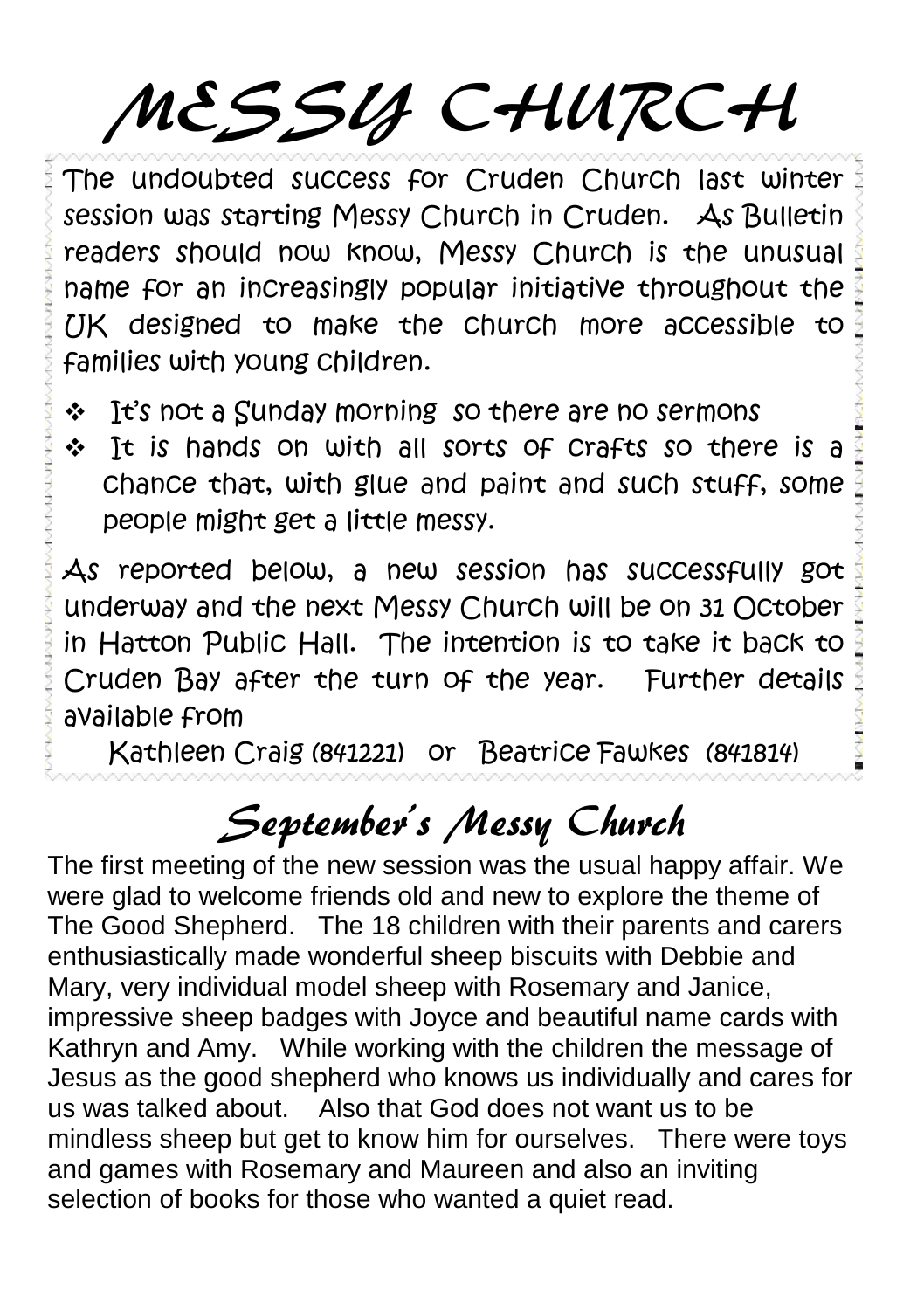# MESSY CHURCH

The undoubted success for Cruden Church last winter session was starting Messy Church in Cruden. As Bulletin readers should now know, Messy Church is the unusual name for an increasingly popular initiative throughout the  $UK$  designed to make the church more accessible to families with young children.

- \* It's not a Sunday morning so there are no sermons
- It is hands on with all sorts of crafts so there is a chance that, with glue and paint and such stuff, some people might get a little messy.

As reported below, a new session has successfully got underway and the next Messy Church will be on 31 October in Hatton Public Hall. The intention is to take it back to Cruden Bay after the turn of the year. Further details available from

Kathleen Craig (841221) or Beatrice Fawkes (841814)

#### September's Messy Church

The first meeting of the new session was the usual happy affair. We were glad to welcome friends old and new to explore the theme of The Good Shepherd. The 18 children with their parents and carers enthusiastically made wonderful sheep biscuits with Debbie and Mary, very individual model sheep with Rosemary and Janice, impressive sheep badges with Joyce and beautiful name cards with Kathryn and Amy. While working with the children the message of Jesus as the good shepherd who knows us individually and cares for us was talked about. Also that God does not want us to be mindless sheep but get to know him for ourselves. There were toys and games with Rosemary and Maureen and also an inviting selection of books for those who wanted a quiet read.